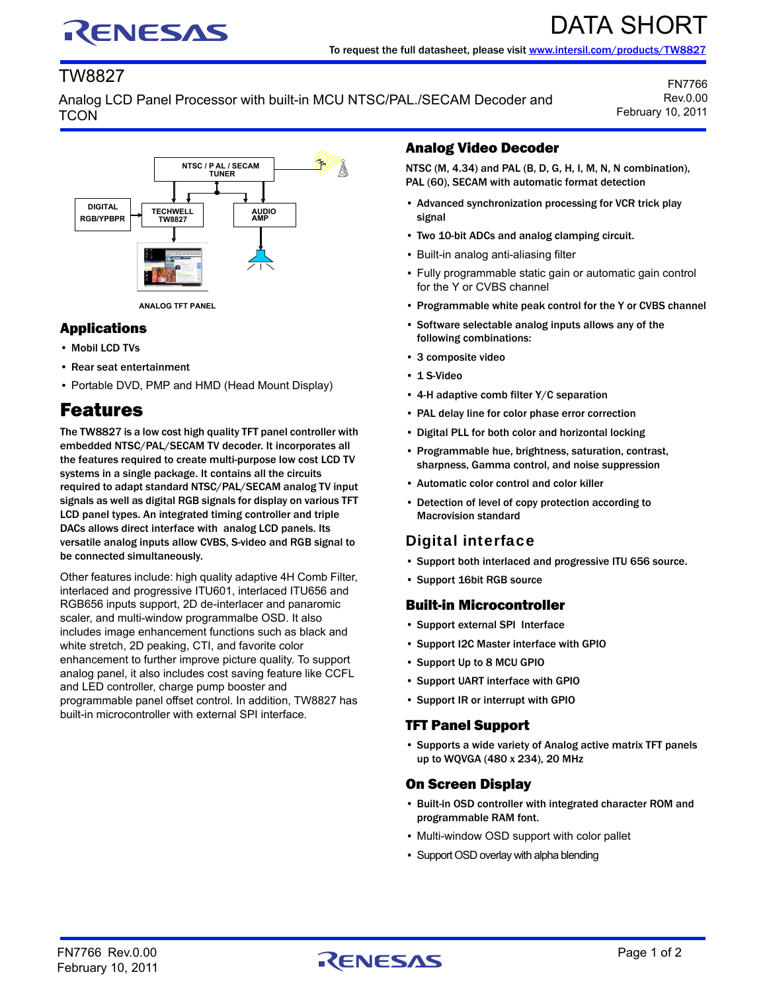# RENESAS

# DATA SHORT To request the full datasheet, please visit [www.intersil.com/products/TW8827](http://www.intersil.com/products/TW8827)

## TW8827

Analog LCD Panel Processor with built-in MCU NTSC/PAL./SECAM Decoder and **TCON** 

FN7766 Rev.0.00 February 10, 2011



#### Applications

- Mobil LCD TVs
- Rear seat entertainment
- Portable DVD, PMP and HMD (Head Mount Display)

# Features

The TW8827 is a low cost high quality TFT panel controller with embedded NTSC/PAL/SECAM TV decoder. It incorporates all the features required to create multi-purpose low cost LCD TV systems in a single package. It contains all the circuits required to adapt standard NTSC/PAL/SECAM analog TV input signals as well as digital RGB signals for display on various TFT LCD panel types. An integrated timing controller and triple DACs allows direct interface with analog LCD panels. Its versatile analog inputs allow CVBS, S-video and RGB signal to be connected simultaneously.

Other features include: high quality adaptive 4H Comb Filter, interlaced and progressive ITU601, interlaced ITU656 and RGB656 inputs support, 2D de-interlacer and panaromic scaler, and multi-window programmalbe OSD. It also includes image enhancement functions such as black and white stretch, 2D peaking, CTI, and favorite color enhancement to further improve picture quality. To support analog panel, it also includes cost saving feature like CCFL and LED controller, charge pump booster and programmable panel offset control. In addition, TW8827 has built-in microcontroller with external SPI interface.

#### Analog Video Decoder

NTSC (M, 4.34) and PAL (B, D, G, H, I, M, N, N combination), PAL (60), SECAM with automatic format detection

- Advanced synchronization processing for VCR trick play signal
- Two 10-bit ADCs and analog clamping circuit.
- Built-in analog anti-aliasing filter
- Fully programmable static gain or automatic gain control for the Y or CVBS channel
- Programmable white peak control for the Y or CVBS channel
- Software selectable analog inputs allows any of the following combinations:
- 3 composite video
- 1 S-Video
- 4-H adaptive comb filter Y/C separation
- PAL delay line for color phase error correction
- Digital PLL for both color and horizontal locking
- Programmable hue, brightness, saturation, contrast, sharpness, Gamma control, and noise suppression
- Automatic color control and color killer
- Detection of level of copy protection according to Macrovision standard

## Digital interface

- Support both interlaced and progressive ITU 656 source.
- Support 16bit RGB source

#### Built-in Microcontroller

- Support external SPI Interface
- Support I2C Master interface with GPIO
- Support Up to 8 MCU GPIO
- Support UART interface with GPIO
- Support IR or interrupt with GPIO

#### TFT Panel Support

• Supports a wide variety of Analog active matrix TFT panels up to WQVGA (480 x 234), 20 MHz

#### On Screen Display

- Built-in OSD controller with integrated character ROM and programmable RAM font.
- Multi-window OSD support with color pallet
- Support OSD overlay with alpha blending